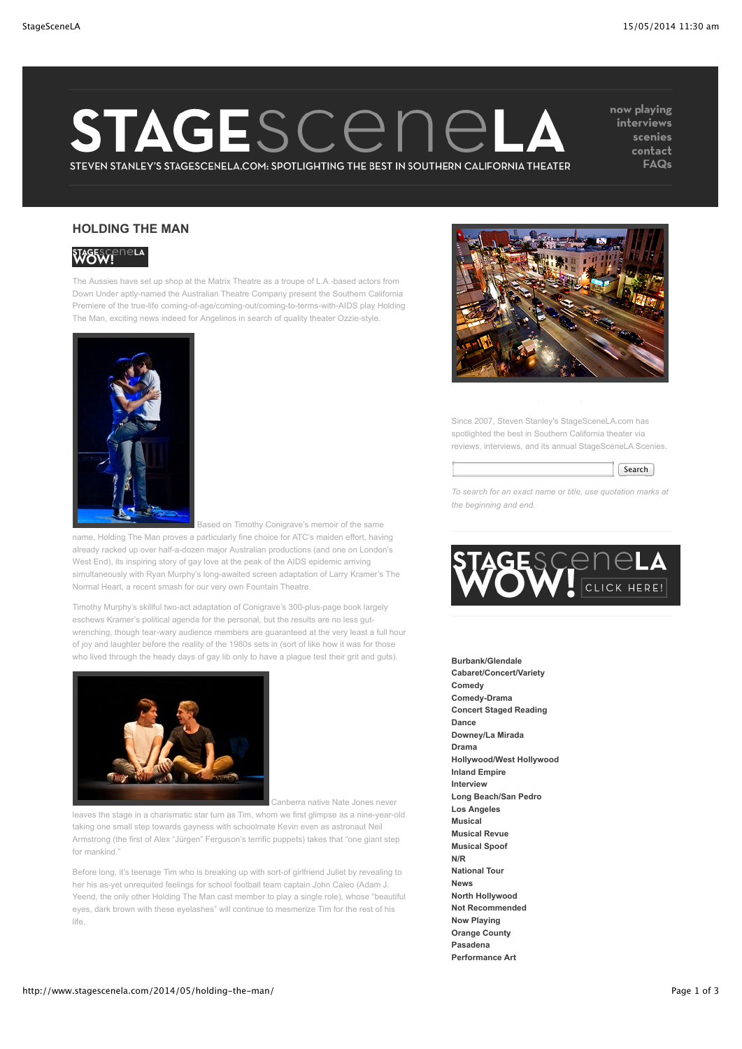# STAGESCENEL  $\boldsymbol{\Lambda}$

STEVEN STANLEY'S STAGESCENELA.COM: SPOTLIGHTING THE BEST IN SOUTHERN CALIFORNIA THEATER

now playing interviews scenies contact **FAQs** 

## **HOLDING THE MAN**



The Aussies have set up shop at the Matrix Theatre as a troupe of L.A.-based actors from Down Under aptly-named the Australian Theatre Company present the Southern California Premiere of the true-life coming-of-age/coming-out/coming-to-terms-with-AIDS play Holding The Man, exciting news indeed for Angelinos in search of quality theater Ozzie-style.



 Based on Timothy Conigrave's memoir of the same name, Holding The Man proves a particularly fine choice for ATC's maiden effort, having already racked up over half-a-dozen major Australian productions (and one on London's West End), its inspiring story of gay love at the peak of the AIDS epidemic arriving simultaneously with Ryan Murphy's long-awaited screen adaptation of Larry Kramer's The Normal Heart, a recent smash for our very own Fountain Theatre.

Timothy Murphy's skillful two-act adaptation of Conigrave's 300-plus-page book largely eschews Kramer's political agenda for the personal, but the results are no less gutwrenching, though tear-wary audience members are guaranteed at the very least a full hour of joy and laughter before the reality of the 1980s sets in (sort of like how it was for those who lived through the heady days of gay lib only to have a plague test their grit and guts).



Canberra native Nate Jones never

leaves the stage in a charismatic star turn as Tim, whom we first glimpse as a nine-year-old taking one small step towards gayness with schoolmate Kevin even as astronaut Neil Armstrong (the first of Alex "Jürgen" Ferguson's terrific puppets) takes that "one giant step for mankind."

Before long, it's teenage Tim who is breaking up with sort-of girlfriend Juliet by revealing to her his as-yet unrequited feelings for school football team captain John Caleo (Adam J. Yeend, the only other Holding The Man cast member to play a single role), whose "beautiful eyes, dark brown with these eyelashes" will continue to mesmerize Tim for the rest of his life.



### ABOUT STAGESCENE LA

Since 2007, Steven Stanley's StageSceneLA.com has spotlighted the best in Southern California theater via reviews, interviews, and its annual StageSceneLA Scenies.



*To search for an exact name or title, use quotation marks at the beginning and end.*



### CATEGORIES

**[Burbank/Glendale](http://www.stagescenela.com/category/glendale-burbank/) [Cabaret/Concert/Variety](http://www.stagescenela.com/category/cabaret/) [Comedy](http://www.stagescenela.com/category/comedy/) [Comedy-Drama](http://www.stagescenela.com/category/comedy-drama/) [Concert Staged Reading](http://www.stagescenela.com/category/concert-staged-reading/) [Dance](http://www.stagescenela.com/category/dance/) [Downey/La Mirada](http://www.stagescenela.com/category/downeyla-mirada/) [Drama](http://www.stagescenela.com/category/drama/) [Hollywood/West Hollywood](http://www.stagescenela.com/category/hollywood-westhollywood/) [Inland Empire](http://www.stagescenela.com/category/inland-empire/) [Interview](http://www.stagescenela.com/category/interview/) [Long Beach/San Pedro](http://www.stagescenela.com/category/long-beachsan-pedro/) [Los Angeles](http://www.stagescenela.com/category/los-angeles/) [Musical](http://www.stagescenela.com/category/musical/) [Musical Revue](http://www.stagescenela.com/category/musical-revue/) [Musical Spoof](http://www.stagescenela.com/category/musical-spoof/) [N/R](http://www.stagescenela.com/category/nr/) [National Tour](http://www.stagescenela.com/category/national-tour/) [News](http://www.stagescenela.com/category/news/) [North Hollywood](http://www.stagescenela.com/category/north-hollywood/) [Not Recommended](http://www.stagescenela.com/category/not-recommended/) [Now Playing](http://www.stagescenela.com/category/now-playing/) [Orange County](http://www.stagescenela.com/category/orange-county/) [Pasadena](http://www.stagescenela.com/category/pasadena/) [Performance Art](http://www.stagescenela.com/category/performance-art/)**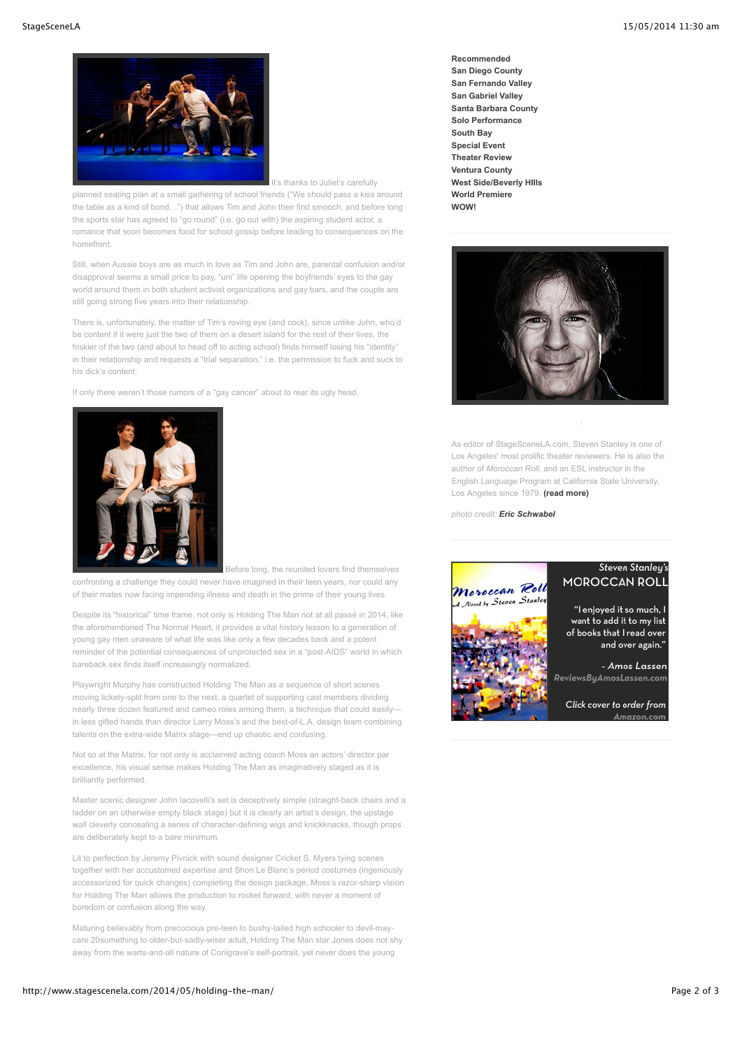

It's thanks to Juliet's carefully

planned seating plan at a small gathering of school friends ("We should pass a kiss around the table as a kind of bond…") that allows Tim and John their first smooch, and before long the sports star has agreed to "go round" (i.e. go out with) the aspiring student actor, a romance that soon becomes food for school gossip before leading to consequences on the homefront.

Still, when Aussie boys are as much in love as Tim and John are, parental confusion and/or disapproval seems a small price to pay, "uni" life opening the boyfriends' eyes to the gay world around them in both student activist organizations and gay bars, and the couple are still going strong five years into their relationship.

There is, unfortunately, the matter of Tim's roving eye (and cock), since unlike John, who'd be content if it were just the two of them on a desert island for the rest of their lives, the friskier of the two (and about to head off to acting school) finds himself losing his "identity" in their relationship and requests a "trial separation," i.e. the permission to fuck and suck to his dick's content.

If only there weren't those rumors of a "gay cancer" about to rear its ugly head.



 Before long, the reunited lovers find themselves confronting a challenge they could never have imagined in their teen years, nor could any of their mates now facing impending illness and death in the prime of their young lives.

Despite its "historical" time frame, not only is Holding The Man not at all passé in 2014, like the aforementioned The Normal Heart, it provides a vital history lesson to a generation of young gay men unaware of what life was like only a few decades back and a potent reminder of the potential consequences of unprotected sex in a "post-AIDS" world in which bareback sex finds itself increasingly normalized.

Playwright Murphy has constructed Holding The Man as a sequence of short scenes moving lickety-split from one to the next, a quartet of supporting cast members dividing nearly three dozen featured and cameo roles among them, a technique that could easilyin less gifted hands than director Larry Moss's and the best-of-L.A. design team combining talents on the extra-wide Matrix stage—end up chaotic and confusing.

Not so at the Matrix, for not only is acclaimed acting coach Moss an actors' director par excellence, his visual sense makes Holding The Man as imaginatively staged as it is brilliantly performed.

Master scenic designer John Iacovelli's set is deceptively simple (straight-back chairs and a ladder on an otherwise empty black stage) but it is clearly an artist's design, the upstage wall cleverly concealing a series of character-defining wigs and knickknacks, though props are deliberately kept to a bare minimum.

Lit to perfection by Jeremy Pivnick with sound designer Cricket S. Myers tying scenes together with her accustomed expertise and Shon Le Blanc's period costumes (ingeniously accessorized for quick changes) completing the design package, Moss's razor-sharp vision for Holding The Man allows the production to rocket forward, with never a moment of boredom or confusion along the way.

Maturing believably from precocious pre-teen to bushy-tailed high schooler to devil-maycare 20something to older-but-sadly-wiser adult, Holding The Man star Jones does not shy away from the warts-and-all nature of Conigrave's self-portrait, yet never does the young

**[Recommended](http://www.stagescenela.com/category/recommended/) [San Diego County](http://www.stagescenela.com/category/san-diego/) [San Fernando Valley](http://www.stagescenela.com/category/san-fernando-valley/) [San Gabriel Valley](http://www.stagescenela.com/category/san-gabriel-valley/) [Santa Barbara County](http://www.stagescenela.com/category/santa-barbara-county/) [Solo Performance](http://www.stagescenela.com/category/solo-performance/) [South Bay](http://www.stagescenela.com/category/south-bay/) [Special Event](http://www.stagescenela.com/category/special-event/) [Theater Review](http://www.stagescenela.com/category/theater-review/) [Ventura County](http://www.stagescenela.com/category/ventura-county/) [West Side/Beverly HIlls](http://www.stagescenela.com/category/west-side/) [World Premiere](http://www.stagescenela.com/category/world-premiere/) [WOW!](http://www.stagescenela.com/category/wow/)**



### ABOUT STEVEN STANLEY

As editor of StageSceneLA.com, Steven Stanley is one of Los Angeles' most prolific theater reviewers. He is also the author of *Moroccan Roll*, and an ESL instructor in the English Language Program at California State University, Los Angeles since 1979. **[\(read more\)](http://www.stagescenela.com/about-steven-stanley)**

*photo credit: [Eric Schwabel](http://www.schwabelstudio.com/)*